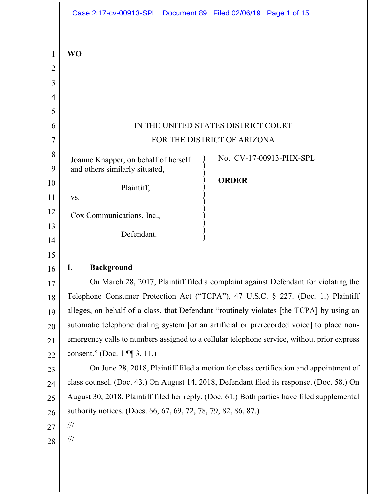|          | Case 2:17-cv-00913-SPL Document 89 Filed 02/06/19 Page 1 of 15                                                                                                         |                                                                                             |                         |  |
|----------|------------------------------------------------------------------------------------------------------------------------------------------------------------------------|---------------------------------------------------------------------------------------------|-------------------------|--|
|          |                                                                                                                                                                        |                                                                                             |                         |  |
| 1        | <b>WO</b>                                                                                                                                                              |                                                                                             |                         |  |
| 2        |                                                                                                                                                                        |                                                                                             |                         |  |
| 3        |                                                                                                                                                                        |                                                                                             |                         |  |
| 4        |                                                                                                                                                                        |                                                                                             |                         |  |
| 5        |                                                                                                                                                                        |                                                                                             |                         |  |
| 6        | IN THE UNITED STATES DISTRICT COURT                                                                                                                                    |                                                                                             |                         |  |
| 7        | FOR THE DISTRICT OF ARIZONA                                                                                                                                            |                                                                                             |                         |  |
| 8        | Joanne Knapper, on behalf of herself                                                                                                                                   |                                                                                             | No. CV-17-00913-PHX-SPL |  |
| 9        | and others similarly situated,                                                                                                                                         |                                                                                             |                         |  |
| 10       | Plaintiff,                                                                                                                                                             | <b>ORDER</b>                                                                                |                         |  |
| 11       | VS.                                                                                                                                                                    |                                                                                             |                         |  |
| 12       | Cox Communications, Inc.,                                                                                                                                              |                                                                                             |                         |  |
| 13       | Defendant.                                                                                                                                                             |                                                                                             |                         |  |
| 14       |                                                                                                                                                                        |                                                                                             |                         |  |
| 15       |                                                                                                                                                                        |                                                                                             |                         |  |
| 16       | <b>Background</b><br>I.                                                                                                                                                |                                                                                             |                         |  |
| 17       | On March 28, 2017, Plaintiff filed a complaint against Defendant for violating the<br>Telephone Consumer Protection Act ("TCPA"), 47 U.S.C. § 227. (Doc. 1.) Plaintiff |                                                                                             |                         |  |
| 18       | alleges, on behalf of a class, that Defendant "routinely violates [the TCPA] by using an                                                                               |                                                                                             |                         |  |
| 19       | automatic telephone dialing system [or an artificial or prerecorded voice] to place non-                                                                               |                                                                                             |                         |  |
| 20       | emergency calls to numbers assigned to a cellular telephone service, without prior express                                                                             |                                                                                             |                         |  |
| 21<br>22 | consent." (Doc. 1 $\P$ 3, 11.)                                                                                                                                         |                                                                                             |                         |  |
| 23       | On June 28, 2018, Plaintiff filed a motion for class certification and appointment of                                                                                  |                                                                                             |                         |  |
| 24       | class counsel. (Doc. 43.) On August 14, 2018, Defendant filed its response. (Doc. 58.) On                                                                              |                                                                                             |                         |  |
| 25       |                                                                                                                                                                        | August 30, 2018, Plaintiff filed her reply. (Doc. 61.) Both parties have filed supplemental |                         |  |
| 26       |                                                                                                                                                                        | authority notices. (Docs. 66, 67, 69, 72, 78, 79, 82, 86, 87.)                              |                         |  |
| 27       | $\frac{1}{1}$                                                                                                                                                          |                                                                                             |                         |  |
| 28       | $\frac{1}{1}$                                                                                                                                                          |                                                                                             |                         |  |
|          |                                                                                                                                                                        |                                                                                             |                         |  |
|          |                                                                                                                                                                        |                                                                                             |                         |  |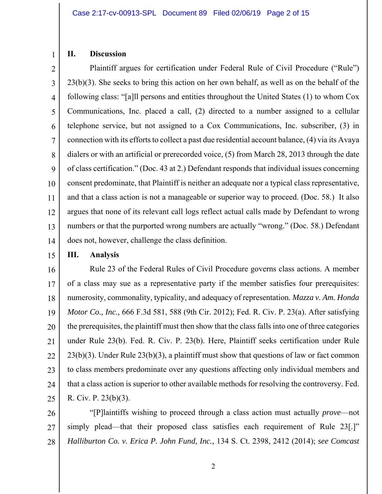# **II. Discussion**

1

2 3 4 5 6 7 8 9 10 11 12 13 14 Plaintiff argues for certification under Federal Rule of Civil Procedure ("Rule") 23(b)(3). She seeks to bring this action on her own behalf, as well as on the behalf of the following class: "[a]ll persons and entities throughout the United States (1) to whom Cox Communications, Inc. placed a call, (2) directed to a number assigned to a cellular telephone service, but not assigned to a Cox Communications, Inc. subscriber, (3) in connection with its efforts to collect a past due residential account balance, (4) via its Avaya dialers or with an artificial or prerecorded voice, (5) from March 28, 2013 through the date of class certification." (Doc. 43 at 2.) Defendant responds that individual issues concerning consent predominate, that Plaintiff is neither an adequate nor a typical class representative, and that a class action is not a manageable or superior way to proceed. (Doc. 58.) It also argues that none of its relevant call logs reflect actual calls made by Defendant to wrong numbers or that the purported wrong numbers are actually "wrong." (Doc. 58.) Defendant does not, however, challenge the class definition.

15 **III. Analysis** 

16 17 18 19 20 21 22 23 24 25 Rule 23 of the Federal Rules of Civil Procedure governs class actions. A member of a class may sue as a representative party if the member satisfies four prerequisites: numerosity, commonality, typicality, and adequacy of representation. *Mazza v. Am. Honda Motor Co., Inc.,* 666 F.3d 581, 588 (9th Cir. 2012); Fed. R. Civ. P. 23(a). After satisfying the prerequisites, the plaintiff must then show that the class falls into one of three categories under Rule 23(b). Fed. R. Civ. P. 23(b). Here, Plaintiff seeks certification under Rule 23(b)(3). Under Rule 23(b)(3), a plaintiff must show that questions of law or fact common to class members predominate over any questions affecting only individual members and that a class action is superior to other available methods for resolving the controversy. Fed. R. Civ. P. 23(b)(3).

26 27 28 "[P]laintiffs wishing to proceed through a class action must actually *prove*—not simply plead—that their proposed class satisfies each requirement of Rule 23.<sup>[1]</sup> *Halliburton Co. v. Erica P. John Fund, Inc.,* 134 S. Ct. 2398, 2412 (2014); *see Comcast*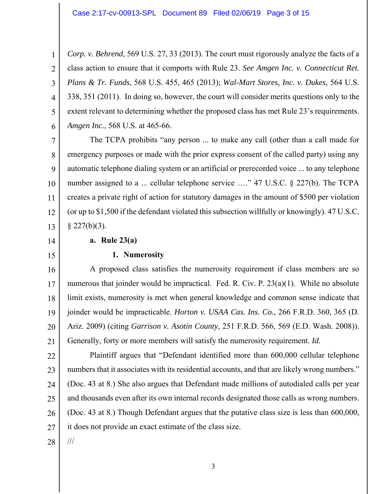4 *Corp. v. Behrend*, 569 U.S. 27, 33 (2013). The court must rigorously analyze the facts of a class action to ensure that it comports with Rule 23. *See Amgen Inc. v. Connecticut Ret. Plans & Tr. Funds*, 568 U.S. 455, 465 (2013); *Wal-Mart Stores, Inc. v. Dukes*, 564 U.S. 338, 351 (2011). In doing so, however, the court will consider merits questions only to the extent relevant to determining whether the proposed class has met Rule 23's requirements. *Amgen Inc.*, 568 U.S. at 465-66.

7 8 9 10 11 12 13 The TCPA prohibits "any person ... to make any call (other than a call made for emergency purposes or made with the prior express consent of the called party) using any automatic telephone dialing system or an artificial or prerecorded voice ... to any telephone number assigned to a ... cellular telephone service ...." 47 U.S.C. § 227(b). The TCPA creates a private right of action for statutory damages in the amount of \$500 per violation (or up to \$1,500 if the defendant violated this subsection willfully or knowingly). 47 U.S.C.  $§$  227(b)(3).

14

1

2

3

5

6

15

## **a. Rule 23(a)**

#### **1. Numerosity**

16 17 18 19 20 21 A proposed class satisfies the numerosity requirement if class members are so numerous that joinder would be impractical. Fed. R. Civ. P. 23(a)(1). While no absolute limit exists, numerosity is met when general knowledge and common sense indicate that joinder would be impracticable. *Horton v. USAA Cas. Ins. Co.*, 266 F.R.D. 360, 365 (D. Ariz. 2009) (citing *Garrison v. Asotin County*, 251 F.R.D. 566, 569 (E.D. Wash. 2008)). Generally, forty or more members will satisfy the numerosity requirement. *Id.*

22 23 24 25 26 27 Plaintiff argues that "Defendant identified more than 600,000 cellular telephone numbers that it associates with its residential accounts, and that are likely wrong numbers." (Doc. 43 at 8.) She also argues that Defendant made millions of autodialed calls per year and thousands even after its own internal records designated those calls as wrong numbers. (Doc. 43 at 8.) Though Defendant argues that the putative class size is less than 600,000, it does not provide an exact estimate of the class size.

28

///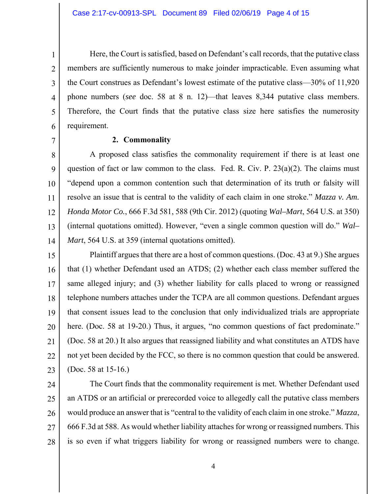Here, the Court is satisfied, based on Defendant's call records, that the putative class members are sufficiently numerous to make joinder impracticable. Even assuming what the Court construes as Defendant's lowest estimate of the putative class—30% of 11,920 phone numbers (*see* doc. 58 at 8 n. 12)—that leaves 8,344 putative class members. Therefore, the Court finds that the putative class size here satisfies the numerosity requirement.

#### **2. Commonality**

8 9 10 11 12 13 14 A proposed class satisfies the commonality requirement if there is at least one question of fact or law common to the class. Fed. R. Civ. P.  $23(a)(2)$ . The claims must "depend upon a common contention such that determination of its truth or falsity will resolve an issue that is central to the validity of each claim in one stroke." *Mazza v. Am. Honda Motor Co.*, 666 F.3d 581, 588 (9th Cir. 2012) (quoting *Wal–Mart*, 564 U.S. at 350) (internal quotations omitted). However, "even a single common question will do." *Wal– Mart*, 564 U.S. at 359 (internal quotations omitted).

15 16 17 18 19 20 21 22 23 Plaintiff argues that there are a host of common questions. (Doc. 43 at 9.) She argues that (1) whether Defendant used an ATDS; (2) whether each class member suffered the same alleged injury; and (3) whether liability for calls placed to wrong or reassigned telephone numbers attaches under the TCPA are all common questions. Defendant argues that consent issues lead to the conclusion that only individualized trials are appropriate here. (Doc. 58 at 19-20.) Thus, it argues, "no common questions of fact predominate." (Doc. 58 at 20.) It also argues that reassigned liability and what constitutes an ATDS have not yet been decided by the FCC, so there is no common question that could be answered. (Doc. 58 at 15-16.)

24

1

2

3

4

5

6

7

25 26 27 28 The Court finds that the commonality requirement is met. Whether Defendant used an ATDS or an artificial or prerecorded voice to allegedly call the putative class members would produce an answer that is "central to the validity of each claim in one stroke." *Mazza*, 666 F.3d at 588. As would whether liability attaches for wrong or reassigned numbers. This is so even if what triggers liability for wrong or reassigned numbers were to change.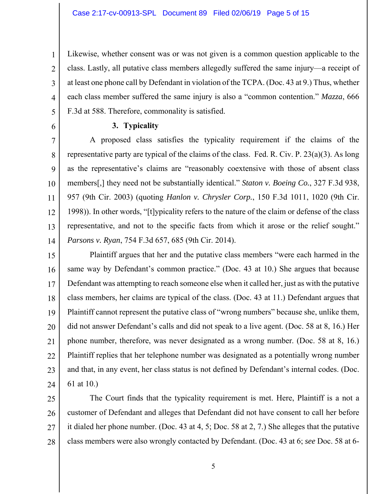Likewise, whether consent was or was not given is a common question applicable to the class. Lastly, all putative class members allegedly suffered the same injury—a receipt of at least one phone call by Defendant in violation of the TCPA. (Doc. 43 at 9.) Thus, whether each class member suffered the same injury is also a "common contention." *Mazza*, 666 F.3d at 588. Therefore, commonality is satisfied.

6

1

2

3

4

5

#### **3. Typicality**

7 8 9 10 11 12 13 14 A proposed class satisfies the typicality requirement if the claims of the representative party are typical of the claims of the class. Fed. R. Civ. P. 23(a)(3). As long as the representative's claims are "reasonably coextensive with those of absent class members[,] they need not be substantially identical." *Staton v. Boeing Co.*, 327 F.3d 938, 957 (9th Cir. 2003) (quoting *Hanlon v. Chrysler Corp.*, 150 F.3d 1011, 1020 (9th Cir. 1998)). In other words, "[t]ypicality refers to the nature of the claim or defense of the class representative, and not to the specific facts from which it arose or the relief sought." *Parsons v. Ryan*, 754 F.3d 657, 685 (9th Cir. 2014).

15 16 17 18 19 20 21 22 23 24 Plaintiff argues that her and the putative class members "were each harmed in the same way by Defendant's common practice." (Doc. 43 at 10.) She argues that because Defendant was attempting to reach someone else when it called her, just as with the putative class members, her claims are typical of the class. (Doc. 43 at 11.) Defendant argues that Plaintiff cannot represent the putative class of "wrong numbers" because she, unlike them, did not answer Defendant's calls and did not speak to a live agent. (Doc. 58 at 8, 16.) Her phone number, therefore, was never designated as a wrong number. (Doc. 58 at 8, 16.) Plaintiff replies that her telephone number was designated as a potentially wrong number and that, in any event, her class status is not defined by Defendant's internal codes. (Doc. 61 at 10.)

25 26 27 28 The Court finds that the typicality requirement is met. Here, Plaintiff is a not a customer of Defendant and alleges that Defendant did not have consent to call her before it dialed her phone number. (Doc. 43 at 4, 5; Doc. 58 at 2, 7.) She alleges that the putative class members were also wrongly contacted by Defendant. (Doc. 43 at 6; *see* Doc. 58 at 6-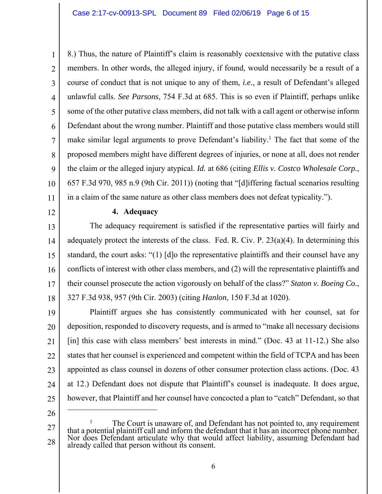1 2 3 4 5 6 7 8 9 10 11 8.) Thus, the nature of Plaintiff's claim is reasonably coextensive with the putative class members. In other words, the alleged injury, if found, would necessarily be a result of a course of conduct that is not unique to any of them, *i.e.,* a result of Defendant's alleged unlawful calls. *See Parsons*, 754 F.3d at 685. This is so even if Plaintiff, perhaps unlike some of the other putative class members, did not talk with a call agent or otherwise inform Defendant about the wrong number. Plaintiff and those putative class members would still make similar legal arguments to prove Defendant's liability.<sup>1</sup> The fact that some of the proposed members might have different degrees of injuries, or none at all, does not render the claim or the alleged injury atypical. *Id.* at 686 (citing *Ellis v. Costco Wholesale Corp.*, 657 F.3d 970, 985 n.9 (9th Cir. 2011)) (noting that "[d]iffering factual scenarios resulting in a claim of the same nature as other class members does not defeat typicality.").

12

#### **4. Adequacy**

13 14 15 16 17 18 The adequacy requirement is satisfied if the representative parties will fairly and adequately protect the interests of the class. Fed. R. Civ. P.  $23(a)(4)$ . In determining this standard, the court asks: "(1) [d]o the representative plaintiffs and their counsel have any conflicts of interest with other class members, and (2) will the representative plaintiffs and their counsel prosecute the action vigorously on behalf of the class?" *Staton v. Boeing Co.*, 327 F.3d 938, 957 (9th Cir. 2003) (citing *Hanlon*, 150 F.3d at 1020).

19 20 21 22 23 24 25 Plaintiff argues she has consistently communicated with her counsel, sat for deposition, responded to discovery requests, and is armed to "make all necessary decisions [in] this case with class members' best interests in mind." (Doc. 43 at 11-12.) She also states that her counsel is experienced and competent within the field of TCPA and has been appointed as class counsel in dozens of other consumer protection class actions. (Doc. 43 at 12.) Defendant does not dispute that Plaintiff's counsel is inadequate. It does argue, however, that Plaintiff and her counsel have concocted a plan to "catch" Defendant, so that

26

 $\overline{a}$ 

<sup>27</sup>  28 1 <sup>1</sup> The Court is unaware of, and Defendant has not pointed to, any requirement that a potential plaintiff call and inform the defendant that it has an incorrect phone number. Nor does Defendant articulate why that would af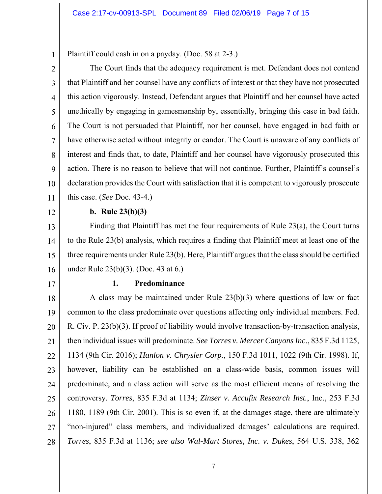Plaintiff could cash in on a payday. (Doc. 58 at 2-3.)

2 3 4 5 6 7 8 9 10 11 The Court finds that the adequacy requirement is met. Defendant does not contend that Plaintiff and her counsel have any conflicts of interest or that they have not prosecuted this action vigorously. Instead, Defendant argues that Plaintiff and her counsel have acted unethically by engaging in gamesmanship by, essentially, bringing this case in bad faith. The Court is not persuaded that Plaintiff, nor her counsel, have engaged in bad faith or have otherwise acted without integrity or candor. The Court is unaware of any conflicts of interest and finds that, to date, Plaintiff and her counsel have vigorously prosecuted this action. There is no reason to believe that will not continue. Further, Plaintiff's counsel's declaration provides the Court with satisfaction that it is competent to vigorously prosecute this case. (*See* Doc. 43-4.)

12

1

### **b. Rule 23(b)(3)**

13 14 15 16 Finding that Plaintiff has met the four requirements of Rule 23(a), the Court turns to the Rule 23(b) analysis, which requires a finding that Plaintiff meet at least one of the three requirements under Rule 23(b). Here, Plaintiff argues that the class should be certified under Rule 23(b)(3). (Doc. 43 at 6.)

17

#### **1. Predominance**

18 19 20 21 22 23 24 25 26 27 28 A class may be maintained under Rule 23(b)(3) where questions of law or fact common to the class predominate over questions affecting only individual members. Fed. R. Civ. P. 23(b)(3). If proof of liability would involve transaction-by-transaction analysis, then individual issues will predominate. *See Torres v. Mercer Canyons Inc*., 835 F.3d 1125, 1134 (9th Cir. 2016); *Hanlon v. Chrysler Corp.*, 150 F.3d 1011, 1022 (9th Cir. 1998). If, however, liability can be established on a class-wide basis, common issues will predominate, and a class action will serve as the most efficient means of resolving the controversy. *Torres*, 835 F.3d at 1134; *Zinser v. Accufix Research Inst.*, Inc., 253 F.3d 1180, 1189 (9th Cir. 2001). This is so even if, at the damages stage, there are ultimately "non-injured" class members, and individualized damages' calculations are required. *Torres*, 835 F.3d at 1136; *see also Wal-Mart Stores, Inc. v. Dukes*, 564 U.S. 338, 362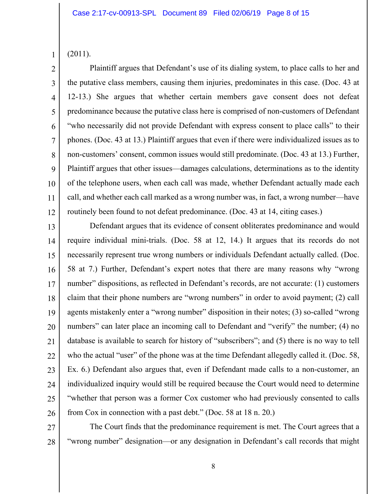(2011).

1

2 3 4 5 6 7 8 9 10 11 12 Plaintiff argues that Defendant's use of its dialing system, to place calls to her and the putative class members, causing them injuries, predominates in this case. (Doc. 43 at 12-13.) She argues that whether certain members gave consent does not defeat predominance because the putative class here is comprised of non-customers of Defendant "who necessarily did not provide Defendant with express consent to place calls" to their phones. (Doc. 43 at 13.) Plaintiff argues that even if there were individualized issues as to non-customers' consent, common issues would still predominate. (Doc. 43 at 13.) Further, Plaintiff argues that other issues—damages calculations, determinations as to the identity of the telephone users, when each call was made, whether Defendant actually made each call, and whether each call marked as a wrong number was, in fact, a wrong number—have routinely been found to not defeat predominance. (Doc. 43 at 14, citing cases.)

13 14 15 16 17 18 19 20 21 22 23 24 25 26 Defendant argues that its evidence of consent obliterates predominance and would require individual mini-trials. (Doc. 58 at 12, 14.) It argues that its records do not necessarily represent true wrong numbers or individuals Defendant actually called. (Doc. 58 at 7.) Further, Defendant's expert notes that there are many reasons why "wrong number" dispositions, as reflected in Defendant's records, are not accurate: (1) customers claim that their phone numbers are "wrong numbers" in order to avoid payment; (2) call agents mistakenly enter a "wrong number" disposition in their notes; (3) so-called "wrong numbers" can later place an incoming call to Defendant and "verify" the number; (4) no database is available to search for history of "subscribers"; and (5) there is no way to tell who the actual "user" of the phone was at the time Defendant allegedly called it. (Doc. 58, Ex. 6.) Defendant also argues that, even if Defendant made calls to a non-customer, an individualized inquiry would still be required because the Court would need to determine "whether that person was a former Cox customer who had previously consented to calls from Cox in connection with a past debt." (Doc. 58 at 18 n. 20.)

27

28

The Court finds that the predominance requirement is met. The Court agrees that a "wrong number" designation—or any designation in Defendant's call records that might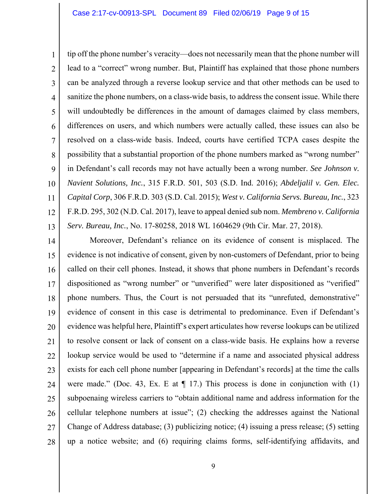1 2 3 4 5 6 7 8 9 10 11 12 13 tip off the phone number's veracity—does not necessarily mean that the phone number will lead to a "correct" wrong number. But, Plaintiff has explained that those phone numbers can be analyzed through a reverse lookup service and that other methods can be used to sanitize the phone numbers, on a class-wide basis, to address the consent issue. While there will undoubtedly be differences in the amount of damages claimed by class members, differences on users, and which numbers were actually called, these issues can also be resolved on a class-wide basis. Indeed, courts have certified TCPA cases despite the possibility that a substantial proportion of the phone numbers marked as "wrong number" in Defendant's call records may not have actually been a wrong number. *See Johnson v. Navient Solutions, Inc.*, 315 F.R.D. 501, 503 (S.D. Ind. 2016); *Abdeljalil v. Gen. Elec. Capital Corp*, 306 F.R.D. 303 (S.D. Cal. 2015); *West v. California Servs. Bureau, Inc.*, 323 F.R.D. 295, 302 (N.D. Cal. 2017), leave to appeal denied sub nom. *Membreno v. California Serv. Bureau, Inc.*, No. 17-80258, 2018 WL 1604629 (9th Cir. Mar. 27, 2018).

14 15 16 17 18 19 20 21 22 23 24 25 26 27 28 Moreover, Defendant's reliance on its evidence of consent is misplaced. The evidence is not indicative of consent, given by non-customers of Defendant, prior to being called on their cell phones. Instead, it shows that phone numbers in Defendant's records dispositioned as "wrong number" or "unverified" were later dispositioned as "verified" phone numbers. Thus, the Court is not persuaded that its "unrefuted, demonstrative" evidence of consent in this case is detrimental to predominance. Even if Defendant's evidence was helpful here, Plaintiff's expert articulates how reverse lookups can be utilized to resolve consent or lack of consent on a class-wide basis. He explains how a reverse lookup service would be used to "determine if a name and associated physical address exists for each cell phone number [appearing in Defendant's records] at the time the calls were made." (Doc. 43, Ex. E at  $\P$  17.) This process is done in conjunction with (1) subpoenaing wireless carriers to "obtain additional name and address information for the cellular telephone numbers at issue"; (2) checking the addresses against the National Change of Address database; (3) publicizing notice; (4) issuing a press release; (5) setting up a notice website; and (6) requiring claims forms, self-identifying affidavits, and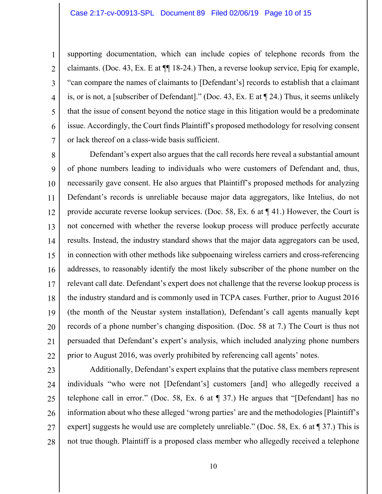1

2

3

4

5

6

7

supporting documentation, which can include copies of telephone records from the claimants. (Doc. 43, Ex. E at ¶¶ 18-24.) Then, a reverse lookup service, Epiq for example, "can compare the names of claimants to [Defendant's] records to establish that a claimant is, or is not, a [subscriber of Defendant]." (Doc. 43, Ex. E at ¶ 24.) Thus, it seems unlikely that the issue of consent beyond the notice stage in this litigation would be a predominate issue. Accordingly, the Court finds Plaintiff's proposed methodology for resolving consent or lack thereof on a class-wide basis sufficient.

8 9 10 11 12 13 14 15 16 17 18 19 20 21 22 Defendant's expert also argues that the call records here reveal a substantial amount of phone numbers leading to individuals who were customers of Defendant and, thus, necessarily gave consent. He also argues that Plaintiff's proposed methods for analyzing Defendant's records is unreliable because major data aggregators, like Intelius, do not provide accurate reverse lookup services. (Doc. 58, Ex. 6 at ¶ 41.) However, the Court is not concerned with whether the reverse lookup process will produce perfectly accurate results. Instead, the industry standard shows that the major data aggregators can be used, in connection with other methods like subpoenaing wireless carriers and cross-referencing addresses, to reasonably identify the most likely subscriber of the phone number on the relevant call date. Defendant's expert does not challenge that the reverse lookup process is the industry standard and is commonly used in TCPA cases. Further, prior to August 2016 (the month of the Neustar system installation), Defendant's call agents manually kept records of a phone number's changing disposition. (Doc. 58 at 7.) The Court is thus not persuaded that Defendant's expert's analysis, which included analyzing phone numbers prior to August 2016, was overly prohibited by referencing call agents' notes.

23 24 25 26 27 28 Additionally, Defendant's expert explains that the putative class members represent individuals "who were not [Defendant's] customers [and] who allegedly received a telephone call in error." (Doc. 58, Ex. 6 at ¶ 37.) He argues that "[Defendant] has no information about who these alleged 'wrong parties' are and the methodologies [Plaintiff's expert] suggests he would use are completely unreliable." (Doc. 58, Ex. 6 at ¶ 37.) This is not true though. Plaintiff is a proposed class member who allegedly received a telephone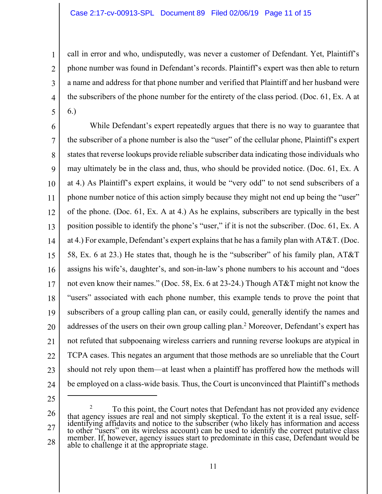call in error and who, undisputedly, was never a customer of Defendant. Yet, Plaintiff's phone number was found in Defendant's records. Plaintiff's expert was then able to return a name and address for that phone number and verified that Plaintiff and her husband were the subscribers of the phone number for the entirety of the class period. (Doc. 61, Ex. A at 6.)

6 7 8 9 10 11 12 13 14 15 16 17 18 19 20 21 22 23 24 While Defendant's expert repeatedly argues that there is no way to guarantee that the subscriber of a phone number is also the "user" of the cellular phone, Plaintiff's expert states that reverse lookups provide reliable subscriber data indicating those individuals who may ultimately be in the class and, thus, who should be provided notice. (Doc. 61, Ex. A at 4.) As Plaintiff's expert explains, it would be "very odd" to not send subscribers of a phone number notice of this action simply because they might not end up being the "user" of the phone. (Doc. 61, Ex. A at 4.) As he explains, subscribers are typically in the best position possible to identify the phone's "user," if it is not the subscriber. (Doc. 61, Ex. A at 4.) For example, Defendant's expert explains that he has a family plan with AT&T. (Doc. 58, Ex. 6 at 23.) He states that, though he is the "subscriber" of his family plan, AT&T assigns his wife's, daughter's, and son-in-law's phone numbers to his account and "does not even know their names." (Doc. 58, Ex. 6 at 23-24.) Though AT&T might not know the "users" associated with each phone number, this example tends to prove the point that subscribers of a group calling plan can, or easily could, generally identify the names and addresses of the users on their own group calling plan.<sup>2</sup> Moreover, Defendant's expert has not refuted that subpoenaing wireless carriers and running reverse lookups are atypical in TCPA cases. This negates an argument that those methods are so unreliable that the Court should not rely upon them—at least when a plaintiff has proffered how the methods will be employed on a class-wide basis. Thus, the Court is unconvinced that Plaintiff's methods

25

 $\overline{a}$ 

1

2

3

4

<sup>26</sup>  27 28 2 <sup>2</sup> To this point, the Court notes that Defendant has not provided any evidence that agency issues are real and not simply skeptical. To the extent it is a real issue, selfidentifying affidavits and notice to the subscriber (who likely has information and access to other "users" on its wireless account) can be used to identify the correct putative class member. If, however, agency issues start to predominate in this case, Defendant would be able to challenge it at the appropriate stage.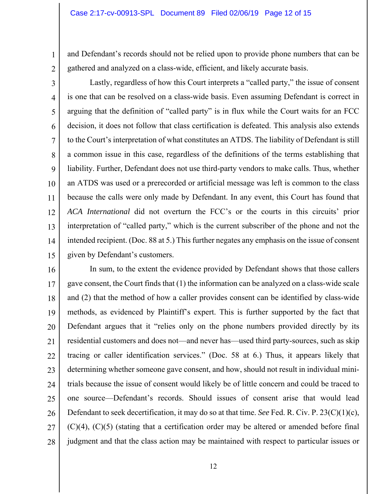and Defendant's records should not be relied upon to provide phone numbers that can be gathered and analyzed on a class-wide, efficient, and likely accurate basis.

2 3

1

4 5 6 7 8 9 10 11 12 13 14 15 Lastly, regardless of how this Court interprets a "called party," the issue of consent is one that can be resolved on a class-wide basis. Even assuming Defendant is correct in arguing that the definition of "called party" is in flux while the Court waits for an FCC decision, it does not follow that class certification is defeated. This analysis also extends to the Court's interpretation of what constitutes an ATDS. The liability of Defendant is still a common issue in this case, regardless of the definitions of the terms establishing that liability. Further, Defendant does not use third-party vendors to make calls. Thus, whether an ATDS was used or a prerecorded or artificial message was left is common to the class because the calls were only made by Defendant. In any event, this Court has found that *ACA International* did not overturn the FCC's or the courts in this circuits' prior interpretation of "called party," which is the current subscriber of the phone and not the intended recipient. (Doc. 88 at 5.) This further negates any emphasis on the issue of consent given by Defendant's customers.

16 17 18 19 20 21 22 23 24 25 26 27 28 In sum, to the extent the evidence provided by Defendant shows that those callers gave consent, the Court finds that (1) the information can be analyzed on a class-wide scale and (2) that the method of how a caller provides consent can be identified by class-wide methods, as evidenced by Plaintiff's expert. This is further supported by the fact that Defendant argues that it "relies only on the phone numbers provided directly by its residential customers and does not—and never has—used third party-sources, such as skip tracing or caller identification services." (Doc. 58 at 6.) Thus, it appears likely that determining whether someone gave consent, and how, should not result in individual minitrials because the issue of consent would likely be of little concern and could be traced to one source—Defendant's records. Should issues of consent arise that would lead Defendant to seek decertification, it may do so at that time. *See* Fed. R. Civ. P. 23(C)(1)(c),  $(C)(4)$ ,  $(C)(5)$  (stating that a certification order may be altered or amended before final judgment and that the class action may be maintained with respect to particular issues or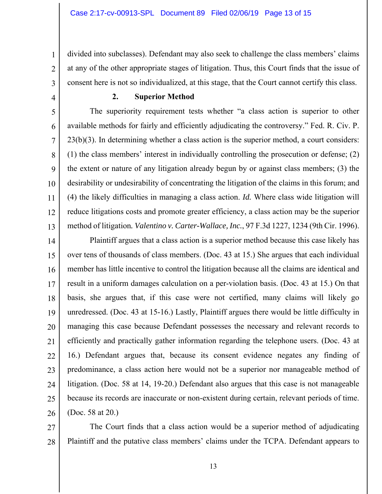divided into subclasses). Defendant may also seek to challenge the class members' claims at any of the other appropriate stages of litigation. Thus, this Court finds that the issue of consent here is not so individualized, at this stage, that the Court cannot certify this class.

1

2

3

4

### **2. Superior Method**

5 6 7 8 9 10 11 12 13 The superiority requirement tests whether "a class action is superior to other available methods for fairly and efficiently adjudicating the controversy." Fed. R. Civ. P. 23(b)(3). In determining whether a class action is the superior method, a court considers: (1) the class members' interest in individually controlling the prosecution or defense; (2) the extent or nature of any litigation already begun by or against class members; (3) the desirability or undesirability of concentrating the litigation of the claims in this forum; and (4) the likely difficulties in managing a class action. *Id.* Where class wide litigation will reduce litigations costs and promote greater efficiency, a class action may be the superior method of litigation*. Valentino v. Carter-Wallace, Inc.*, 97 F.3d 1227, 1234 (9th Cir. 1996).

14 15 16 17 18 19 20 21 22 23 24 25 26 Plaintiff argues that a class action is a superior method because this case likely has over tens of thousands of class members. (Doc. 43 at 15.) She argues that each individual member has little incentive to control the litigation because all the claims are identical and result in a uniform damages calculation on a per-violation basis. (Doc. 43 at 15.) On that basis, she argues that, if this case were not certified, many claims will likely go unredressed. (Doc. 43 at 15-16.) Lastly, Plaintiff argues there would be little difficulty in managing this case because Defendant possesses the necessary and relevant records to efficiently and practically gather information regarding the telephone users. (Doc. 43 at 16.) Defendant argues that, because its consent evidence negates any finding of predominance, a class action here would not be a superior nor manageable method of litigation. (Doc. 58 at 14, 19-20.) Defendant also argues that this case is not manageable because its records are inaccurate or non-existent during certain, relevant periods of time. (Doc. 58 at 20.)

27 28 The Court finds that a class action would be a superior method of adjudicating Plaintiff and the putative class members' claims under the TCPA. Defendant appears to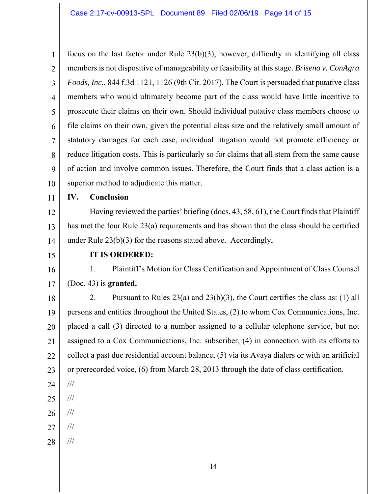1 2 3 4 5 6 7 8 9 10 focus on the last factor under Rule 23(b)(3); however, difficulty in identifying all class members is not dispositive of manageability or feasibility at this stage. *Briseno v. ConAgra Foods, Inc.*, 844 f.3d 1121, 1126 (9th Cir. 2017). The Court is persuaded that putative class members who would ultimately become part of the class would have little incentive to prosecute their claims on their own. Should individual putative class members choose to file claims on their own, given the potential class size and the relatively small amount of statutory damages for each case, individual litigation would not promote efficiency or reduce litigation costs. This is particularly so for claims that all stem from the same cause of action and involve common issues. Therefore, the Court finds that a class action is a superior method to adjudicate this matter.

11

## **IV. Conclusion**

12 13 14 Having reviewed the parties' briefing (docs. 43, 58, 61), the Court finds that Plaintiff has met the four Rule 23(a) requirements and has shown that the class should be certified under Rule 23(b)(3) for the reasons stated above. Accordingly,

15

#### **IT IS ORDERED:**

16 17 1. Plaintiff's Motion for Class Certification and Appointment of Class Counsel (Doc. 43) is **granted.**

18 19 20 21 22 23 2. Pursuant to Rules 23(a) and 23(b)(3), the Court certifies the class as: (1) all persons and entities throughout the United States, (2) to whom Cox Communications, Inc. placed a call (3) directed to a number assigned to a cellular telephone service, but not assigned to a Cox Communications, Inc. subscriber, (4) in connection with its efforts to collect a past due residential account balance, (5) via its Avaya dialers or with an artificial or prerecorded voice, (6) from March 28, 2013 through the date of class certification.

- 24 ///
- 25 ///
- 26 ///
- 27 ///
- 28 ///